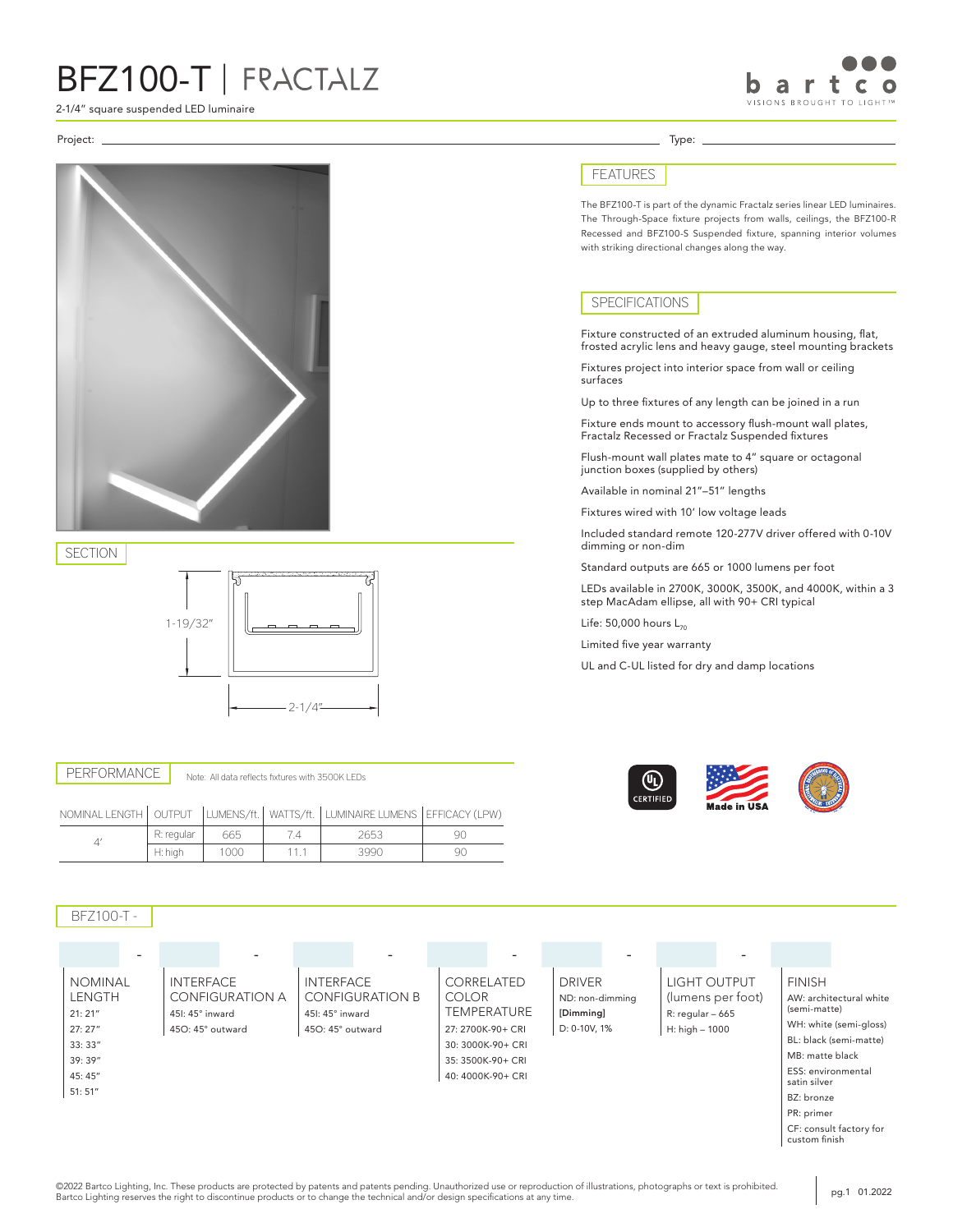2-1/4" square suspended LED luminaire

#### Project: Type:



SECTION



PERFORMANCE Note: All data reflects fixtures with 3500K LEDs

|  |            |      | NOMINAL LENGTH   OUTPUT   LUMENS/ft.   WATTS/ft.   LUMINAIRE LUMENS   EFFICACY (LPW) |    |
|--|------------|------|--------------------------------------------------------------------------------------|----|
|  | R: regular | 665  | 2653                                                                                 |    |
|  | H: high    | 1000 | 3990                                                                                 | Чſ |

### BFZ100-T -

|                |                        | $\overline{\phantom{0}}$ | $\overline{\phantom{0}}$ |                 |                    |                                          |
|----------------|------------------------|--------------------------|--------------------------|-----------------|--------------------|------------------------------------------|
| <b>NOMINAL</b> | INTERFACE              | <b>INTERFACE</b>         | CORRELATED               | <b>DRIVER</b>   | LIGHT OUTPUT       | <b>FINISH</b>                            |
| <b>LENGTH</b>  | <b>CONFIGURATION A</b> | <b>CONFIGURATION B</b>   | <b>COLOR</b>             | ND: non-dimming | (lumens per foot)  | AW: architectural white                  |
| 21:21"         | 451: 45° inward        | 451: 45° inward          | <b>TEMPERATURE</b>       | [Dimming]       | $R:$ regular - 665 | (semi-matte)                             |
| 27:27"         | 450: 45° outward       | 450: 45° outward         | 27: 2700K-90+ CRI        | D: 0-10V, 1%    | H: high - 1000     | WH: white (semi-gloss)                   |
| 33:33"         |                        |                          | 30: 3000K-90+ CRI        |                 |                    | BL: black (semi-matte)                   |
| 39:39"         |                        |                          | 35: 3500K-90+ CRI        |                 |                    | MB: matte black                          |
| 45:45"         |                        |                          | 40: 4000K-90+ CRI        |                 |                    | ESS: environmental<br>satin silver       |
| 51:51''        |                        |                          |                          |                 |                    | BZ: bronze                               |
|                |                        |                          |                          |                 |                    | PR: primer                               |
|                |                        |                          |                          |                 |                    | CF: consult factory for<br>custom finish |

#### FEATURES

The BFZ100-T is part of the dynamic Fractalz series linear LED luminaires. The Through-Space fixture projects from walls, ceilings, the BFZ100-R Recessed and BFZ100-S Suspended fixture, spanning interior volumes with striking directional changes along the way.

#### SPECIFICATIONS

Fixture constructed of an extruded aluminum housing, flat, frosted acrylic lens and heavy gauge, steel mounting brackets

Fixtures project into interior space from wall or ceiling surfaces

Up to three fixtures of any length can be joined in a run

Fixture ends mount to accessory flush-mount wall plates, Fractalz Recessed or Fractalz Suspended fixtures

Flush-mount wall plates mate to 4" square or octagonal junction boxes (supplied by others)

Available in nominal 21"–51" lengths

Fixtures wired with 10' low voltage leads

Included standard remote 120-277V driver offered with 0-10V dimming or non-dim

Standard outputs are 665 or 1000 lumens per foot

LEDs available in 2700K, 3000K, 3500K, and 4000K, within a 3 step MacAdam ellipse, all with 90+ CRI typical

Life:  $50,000$  hours  $L_{70}$ 

Limited five year warranty

UL and C-UL listed for dry and damp locations



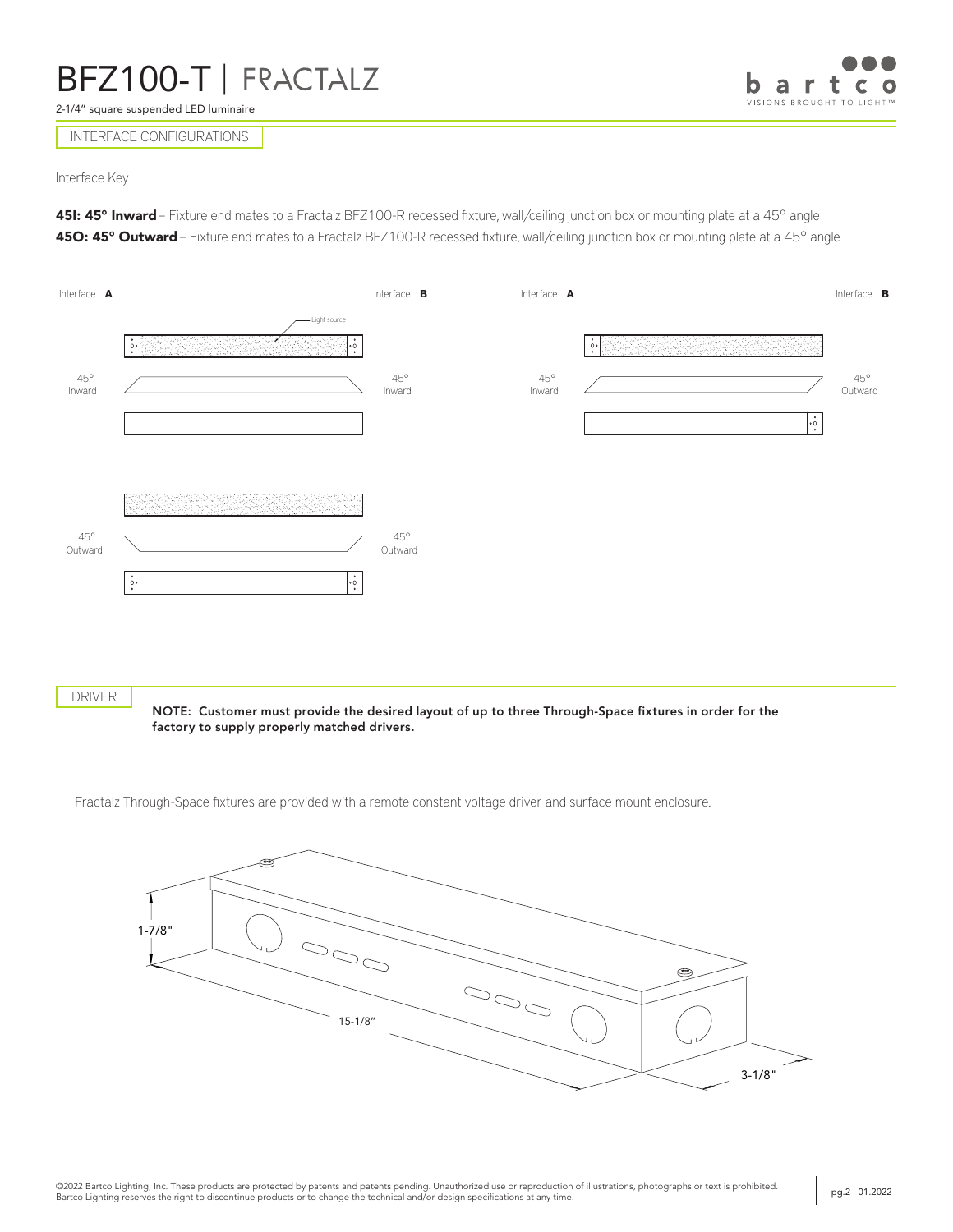2-1/4" square suspended LED luminaire



INTERFACE CONFIGURATIONS

Interface Key

451: 45° Inward – Fixture end mates to a Fractalz BFZ100-R recessed fixture, wall/ceiling junction box or mounting plate at a 45° angle 45O: 45° Outward – Fixture end mates to a Fractalz BFZ100-R recessed fixture, wall/ceiling junction box or mounting plate at a 45° angle



DRIVER

NOTE: Customer must provide the desired layout of up to three Through-Space fixtures in order for the factory to supply properly matched drivers.

Fractalz Through-Space fixtures are provided with a remote constant voltage driver and surface mount enclosure.

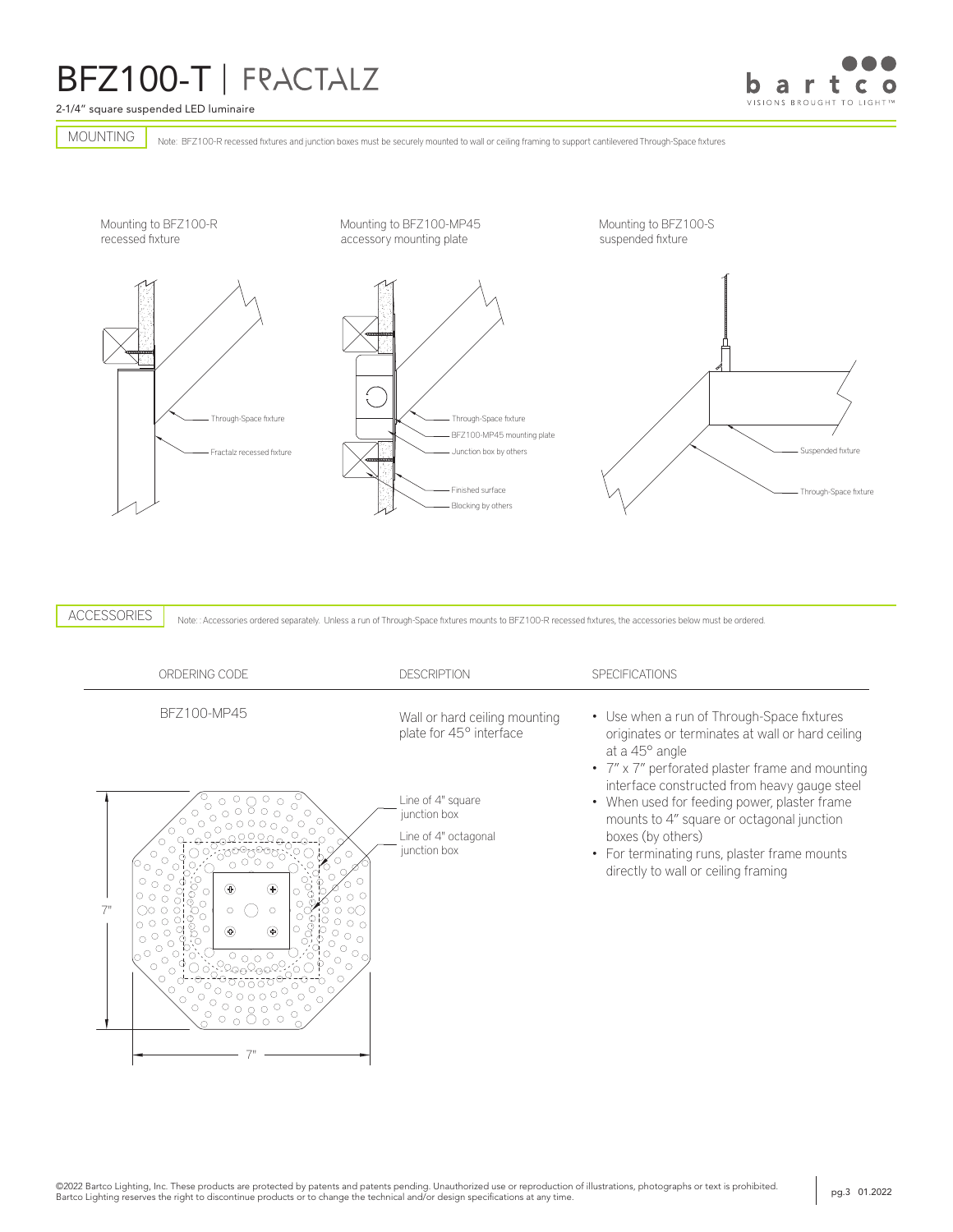2-1/4" square suspended LED luminaire

a r  $\mathbf C$ VISIONS BROUGHT TO LIGHT™

Note: BFZ100-R recessed fixtures and junction boxes must be securely mounted to wall or ceiling framing to support cantilevered Through-Space fixtures MOUNTING



ACCESSORIES

Note:: Accessories ordered separately. Unless a run of Through-Space fixtures mounts to BFZ100-R recessed fixtures, the accessories below must be ordered.